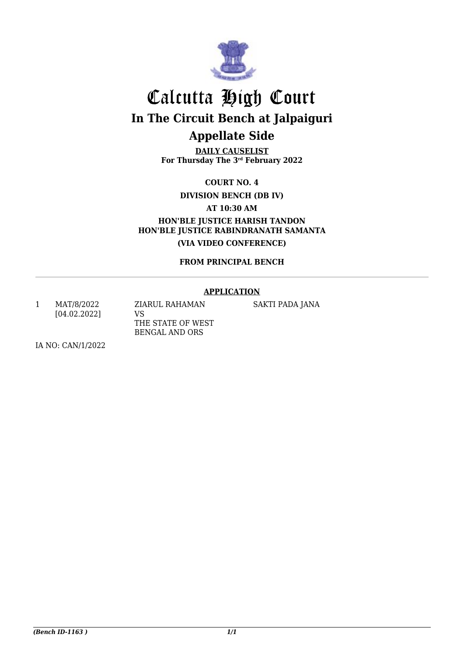

**DAILY CAUSELIST For Thursday The 3rd February 2022**

**COURT NO. 4**

**DIVISION BENCH (DB IV)**

**AT 10:30 AM**

**HON'BLE JUSTICE HARISH TANDON HON'BLE JUSTICE RABINDRANATH SAMANTA (VIA VIDEO CONFERENCE)**

**FROM PRINCIPAL BENCH**

### **APPLICATION**

1 MAT/8/2022 [04.02.2022] ZIARUL RAHAMAN VS THE STATE OF WEST BENGAL AND ORS

SAKTI PADA JANA

IA NO: CAN/1/2022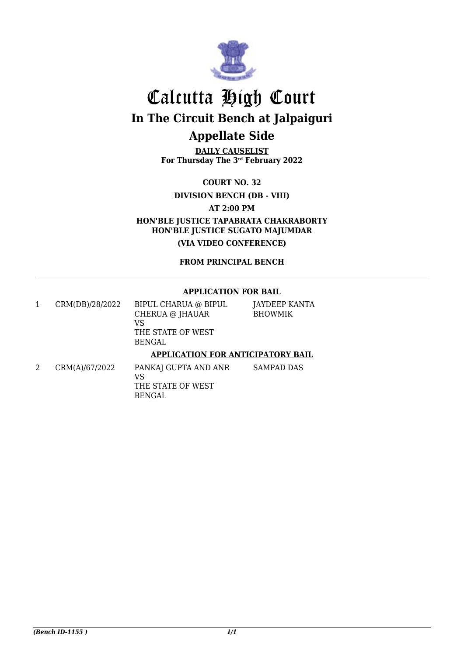

**DAILY CAUSELIST For Thursday The 3rd February 2022**

**COURT NO. 32**

**DIVISION BENCH (DB - VIII)**

**AT 2:00 PM**

**HON'BLE JUSTICE TAPABRATA CHAKRABORTY HON'BLE JUSTICE SUGATO MAJUMDAR**

**(VIA VIDEO CONFERENCE)**

**FROM PRINCIPAL BENCH**

#### **APPLICATION FOR BAIL**

1 CRM(DB)/28/2022 BIPUL CHARUA @ BIPUL CHERUA @ JHAUAR VS THE STATE OF WEST BENGAL

JAYDEEP KANTA **BHOWMIK** 

### **APPLICATION FOR ANTICIPATORY BAIL**

2 CRM(A)/67/2022 PANKAJ GUPTA AND ANR VS THE STATE OF WEST BENGAL SAMPAD DAS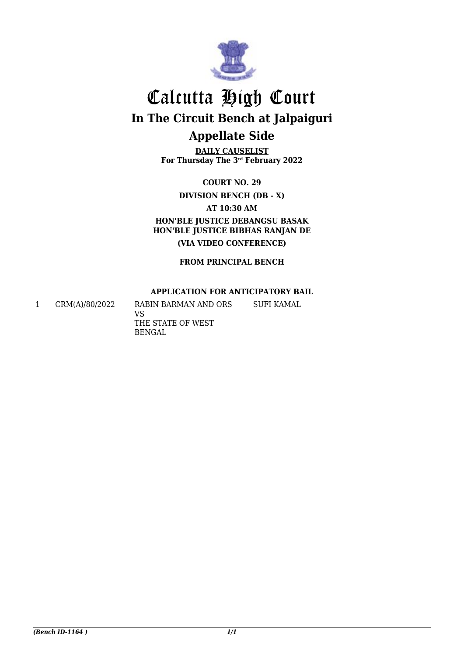

**DAILY CAUSELIST For Thursday The 3rd February 2022**

**COURT NO. 29**

**DIVISION BENCH (DB - X)**

**AT 10:30 AM**

**HON'BLE JUSTICE DEBANGSU BASAK HON'BLE JUSTICE BIBHAS RANJAN DE (VIA VIDEO CONFERENCE)**

**FROM PRINCIPAL BENCH**

### **APPLICATION FOR ANTICIPATORY BAIL**

1 CRM(A)/80/2022 RABIN BARMAN AND ORS VS THE STATE OF WEST BENGAL SUFI KAMAL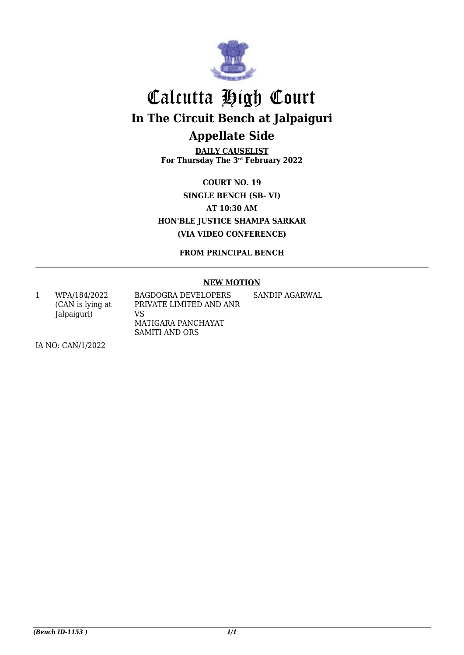

**DAILY CAUSELIST For Thursday The 3rd February 2022**

**COURT NO. 19 SINGLE BENCH (SB- VI) AT 10:30 AM HON'BLE JUSTICE SHAMPA SARKAR (VIA VIDEO CONFERENCE)**

**FROM PRINCIPAL BENCH**

#### **NEW MOTION**

1 WPA/184/2022 (CAN is lying at Jalpaiguri) BAGDOGRA DEVELOPERS PRIVATE LIMITED AND ANR VS MATIGARA PANCHAYAT SAMITI AND ORS SANDIP AGARWAL

IA NO: CAN/1/2022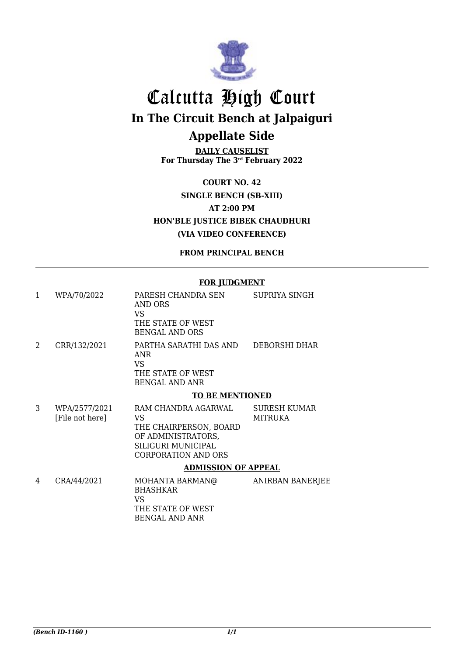

**DAILY CAUSELIST For Thursday The 3rd February 2022**

**COURT NO. 42 SINGLE BENCH (SB-XIII) AT 2:00 PM HON'BLE JUSTICE BIBEK CHAUDHURI (VIA VIDEO CONFERENCE)**

**FROM PRINCIPAL BENCH**

#### **FOR JUDGMENT**

| 1 | WPA/70/2022                      | PARESH CHANDRA SEN<br>AND ORS<br>VS<br>THE STATE OF WEST<br><b>BENGAL AND ORS</b>                                             | SUPRIYA SINGH                  |
|---|----------------------------------|-------------------------------------------------------------------------------------------------------------------------------|--------------------------------|
| 2 | CRR/132/2021                     | PARTHA SARATHI DAS AND<br>ANR<br>VS.<br>THE STATE OF WEST<br><b>BENGAL AND ANR</b>                                            | DEBORSHI DHAR                  |
|   |                                  | <b>TO BE MENTIONED</b>                                                                                                        |                                |
| 3 | WPA/2577/2021<br>[File not here] | RAM CHANDRA AGARWAL<br>VS<br>THE CHAIRPERSON, BOARD<br>OF ADMINISTRATORS,<br>SILIGURI MUNICIPAL<br><b>CORPORATION AND ORS</b> | <b>SURESH KUMAR</b><br>MITRUKA |
|   |                                  | <b>ADMISSION OF APPEAL</b>                                                                                                    |                                |
| 4 | CRA/44/2021                      | MOHANTA BARMAN@<br><b>BHASHKAR</b><br>VS<br>THE STATE OF WEST                                                                 | <b>ANIRBAN BANERJEE</b>        |

BENGAL AND ANR